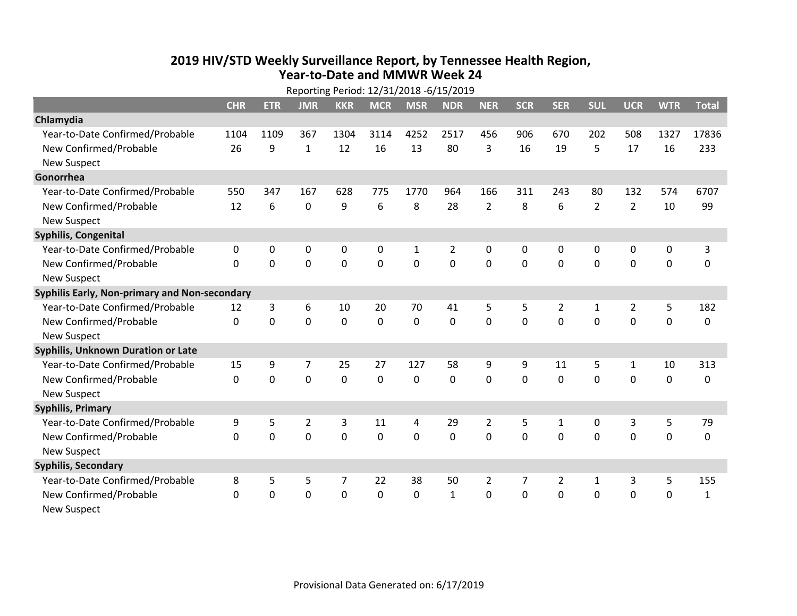## **2019 HIV /STD Weekly Surveillance Report, by Tennessee Health Region, Year‐to‐Date and MMWR Week 24**

| Reporting Period: 12/31/2018 -6/15/2019       |             |             |                |             |             |                |                |                |              |                |                |                |             |              |
|-----------------------------------------------|-------------|-------------|----------------|-------------|-------------|----------------|----------------|----------------|--------------|----------------|----------------|----------------|-------------|--------------|
|                                               | <b>CHR</b>  | <b>ETR</b>  | <b>JMR</b>     | <b>KKR</b>  | <b>MCR</b>  | <b>MSR</b>     | <b>NDR</b>     | <b>NER</b>     | <b>SCR</b>   | <b>SER</b>     | <b>SUL</b>     | <b>UCR</b>     | <b>WTR</b>  | <b>Total</b> |
| Chlamydia                                     |             |             |                |             |             |                |                |                |              |                |                |                |             |              |
| Year-to-Date Confirmed/Probable               | 1104        | 1109        | 367            | 1304        | 3114        | 4252           | 2517           | 456            | 906          | 670            | 202            | 508            | 1327        | 17836        |
| New Confirmed/Probable                        | 26          | 9           | 1              | 12          | 16          | 13             | 80             | 3              | 16           | 19             | 5              | 17             | 16          | 233          |
| <b>New Suspect</b>                            |             |             |                |             |             |                |                |                |              |                |                |                |             |              |
| Gonorrhea                                     |             |             |                |             |             |                |                |                |              |                |                |                |             |              |
| Year-to-Date Confirmed/Probable               | 550         | 347         | 167            | 628         | 775         | 1770           | 964            | 166            | 311          | 243            | 80             | 132            | 574         | 6707         |
| New Confirmed/Probable                        | 12          | 6           | 0              | 9           | 6           | 8              | 28             | $\overline{2}$ | 8            | 6              | $\overline{2}$ | $\overline{2}$ | 10          | 99           |
| <b>New Suspect</b>                            |             |             |                |             |             |                |                |                |              |                |                |                |             |              |
| <b>Syphilis, Congenital</b>                   |             |             |                |             |             |                |                |                |              |                |                |                |             |              |
| Year-to-Date Confirmed/Probable               | 0           | 0           | $\mathbf 0$    | 0           | $\pmb{0}$   | $\mathbf{1}$   | $\overline{2}$ | $\mathbf 0$    | 0            | 0              | $\mathbf 0$    | 0              | $\mathbf 0$ | 3            |
| New Confirmed/Probable                        | $\Omega$    | $\mathbf 0$ | $\mathbf 0$    | 0           | $\mathbf 0$ | $\overline{0}$ | 0              | $\mathbf 0$    | $\mathbf{0}$ | 0              | $\mathbf 0$    | 0              | $\mathbf 0$ | 0            |
| <b>New Suspect</b>                            |             |             |                |             |             |                |                |                |              |                |                |                |             |              |
| Syphilis Early, Non-primary and Non-secondary |             |             |                |             |             |                |                |                |              |                |                |                |             |              |
| Year-to-Date Confirmed/Probable               | 12          | 3           | 6              | 10          | 20          | 70             | 41             | 5              | 5            | $\overline{2}$ | 1              | $\overline{2}$ | 5           | 182          |
| New Confirmed/Probable                        | 0           | 0           | $\mathbf 0$    | $\mathbf 0$ | $\mathbf 0$ | $\mathbf 0$    | 0              | $\mathbf 0$    | 0            | $\mathbf 0$    | $\mathbf 0$    | $\mathbf 0$    | $\mathbf 0$ | 0            |
| <b>New Suspect</b>                            |             |             |                |             |             |                |                |                |              |                |                |                |             |              |
| <b>Syphilis, Unknown Duration or Late</b>     |             |             |                |             |             |                |                |                |              |                |                |                |             |              |
| Year-to-Date Confirmed/Probable               | 15          | 9           | 7              | 25          | 27          | 127            | 58             | 9              | 9            | 11             | 5              | $\mathbf{1}$   | 10          | 313          |
| New Confirmed/Probable                        | 0           | 0           | $\mathbf 0$    | 0           | $\mathbf 0$ | $\mathbf 0$    | 0              | $\Omega$       | $\Omega$     | $\mathbf 0$    | 0              | 0              | $\mathbf 0$ | 0            |
| <b>New Suspect</b>                            |             |             |                |             |             |                |                |                |              |                |                |                |             |              |
| <b>Syphilis, Primary</b>                      |             |             |                |             |             |                |                |                |              |                |                |                |             |              |
| Year-to-Date Confirmed/Probable               | 9           | 5           | $\overline{2}$ | 3           | 11          | 4              | 29             | $\overline{2}$ | 5            | $\mathbf{1}$   | 0              | 3              | 5           | 79           |
| New Confirmed/Probable                        | $\Omega$    | 0           | 0              | 0           | 0           | $\mathbf 0$    | 0              | $\Omega$       | $\Omega$     | 0              | 0              | 0              | $\mathbf 0$ | 0            |
| <b>New Suspect</b>                            |             |             |                |             |             |                |                |                |              |                |                |                |             |              |
| <b>Syphilis, Secondary</b>                    |             |             |                |             |             |                |                |                |              |                |                |                |             |              |
| Year-to-Date Confirmed/Probable               | 8           | 5           | 5              | 7           | 22          | 38             | 50             | $\overline{2}$ | 7            | $\overline{2}$ | $\mathbf{1}$   | 3              | 5           | 155          |
| New Confirmed/Probable                        | $\mathbf 0$ | 0           | 0              | 0           | $\mathbf 0$ | 0              | $\mathbf{1}$   | $\mathbf 0$    | 0            | 0              | $\mathbf 0$    | 0              | $\mathbf 0$ | $\mathbf{1}$ |
| <b>New Suspect</b>                            |             |             |                |             |             |                |                |                |              |                |                |                |             |              |